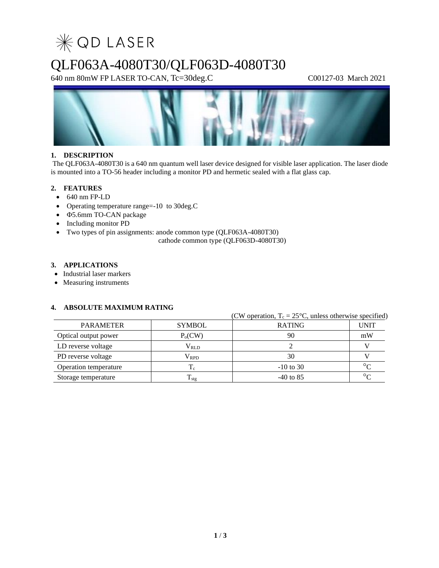

# QLF063A-4080T30/QLF063D-4080T30

640 nm 80mW FP LASER TO-CAN, Tc=30deg.C C00127-03 March 2021



### **1. DESCRIPTION**

The QLF063A-4080T30 is a 640 nm quantum well laser device designed for visible laser application. The laser diode is mounted into a TO-56 header including a monitor PD and hermetic sealed with a flat glass cap.

### **2. FEATURES**

- 640 nm FP-LD
- Operating temperature range=-10 to 30deg.C
- $\Phi$ **5.6mm TO-CAN** package
- Including monitor PD
- Two types of pin assignments: anode common type (QLF063A-4080T30)

cathode common type (QLF063D-4080T30)

### **3. APPLICATIONS**

- Industrial laser markers
- Measuring instruments

### **4. ABSOLUTE MAXIMUM RATING**

|                       |                     | (CW operation, $T_c = 25^{\circ}C$ , unless otherwise specified) |             |  |  |  |
|-----------------------|---------------------|------------------------------------------------------------------|-------------|--|--|--|
| <b>PARAMETER</b>      | <b>SYMBOL</b>       | <b>RATING</b>                                                    | <b>UNIT</b> |  |  |  |
| Optical output power  | P <sub>o</sub> (CW) | 90                                                               | mW          |  |  |  |
| LD reverse voltage    | $V_{RLD}$           |                                                                  |             |  |  |  |
| PD reverse voltage    | $\rm V_{RPD}$       | 30                                                               |             |  |  |  |
| Operation temperature | $T_c$               | $-10$ to 30                                                      | $\circ$     |  |  |  |
| Storage temperature   | $\mathbf{I}$ stg    | $-40$ to 85                                                      | $\circ$     |  |  |  |

### **1** / **3**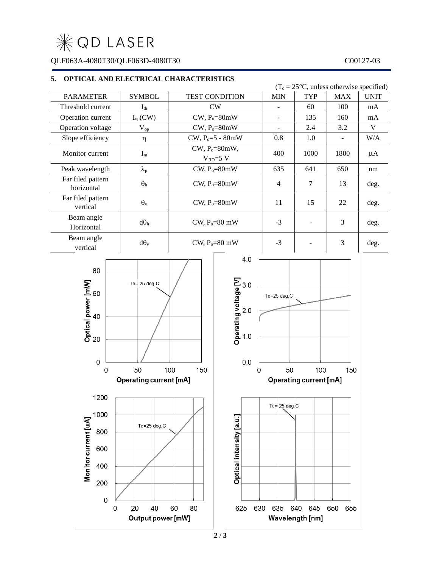**WOD LASER** 

QLF063A-4080T30/QLF063D-4080T30 C00127-03

### **5. OPTICAL AND ELECTRICAL CHARACTERISTICS**

|                                                             |                          |                                         |            |                                                  | $(T_c = 25^{\circ}C$ , unless otherwise specified) |            |             |  |
|-------------------------------------------------------------|--------------------------|-----------------------------------------|------------|--------------------------------------------------|----------------------------------------------------|------------|-------------|--|
| <b>PARAMETER</b>                                            | <b>SYMBOL</b>            | <b>TEST CONDITION</b>                   |            | <b>MIN</b>                                       | <b>TYP</b>                                         | <b>MAX</b> | <b>UNIT</b> |  |
| Threshold current                                           | $I_{th}$                 | CW                                      |            | $\overline{\phantom{0}}$                         | 60                                                 | 100        | mA          |  |
| Operation current                                           | $I_{op}(CW)$             | $CW, P_0 = 80mW$                        |            | $\qquad \qquad -$                                | 135                                                | 160        | mA          |  |
| Operation voltage                                           | $\mathbf{V}_{\text{op}}$ | $CW, P_0 = 80mW$                        |            |                                                  | 2.4                                                | 3.2        | $\mathbf V$ |  |
| Slope efficiency                                            | η                        | $CW, P_0 = 5 - 80mW$                    |            | 0.8                                              | 1.0                                                |            | W/A         |  |
| Monitor current                                             | $\mathbf{I}_\text{m}$    | $CW$ , $P_0 = 80$ mW,<br>$V_{RD} = 5 V$ |            | 400                                              | 1000                                               | 1800       | $\mu A$     |  |
| Peak wavelength                                             | $\lambda_{\rm p}$        | $CW, P_0 = 80mW$                        |            | 635                                              | 641                                                | 650        | nm          |  |
| Far filed pattern<br>horizontal                             | $\Theta_{\rm h}$         | $CW$ , $P_0 = 80$ mW                    |            | $\overline{4}$                                   | $\overline{7}$                                     | 13         | deg.        |  |
| Far filed pattern<br>vertical                               | $\theta_{\rm v}$         | $CW$ , $P_0 = 80$ mW                    |            | 11                                               | 15                                                 | 22         | deg.        |  |
| Beam angle<br>Horizontal                                    | $d\theta_h$              | CW, $P_0 = 80$ mW                       |            | $-3$                                             | $\overline{\phantom{a}}$                           | 3          | deg.        |  |
| Beam angle<br>vertical                                      | $d\theta_v$              | CW, $P_0 = 80$ mW                       |            | $-3$                                             | $\overline{\phantom{a}}$                           | 3          | deg.        |  |
| 80<br>Optical power [mW]<br>20<br>20<br>$\mathsf{O}\xspace$ | $Tc = 25$ deg. $C$<br>50 |                                         | 4.0<br>0.0 | Tc=25 deg.C<br>50                                |                                                    |            |             |  |
| 100<br>150<br>$\mathbf 0$<br><b>Operating current [mA]</b>  |                          |                                         |            | 100<br>150<br>0<br><b>Operating current [mA]</b> |                                                    |            |             |  |
|                                                             |                          |                                         |            |                                                  |                                                    |            |             |  |